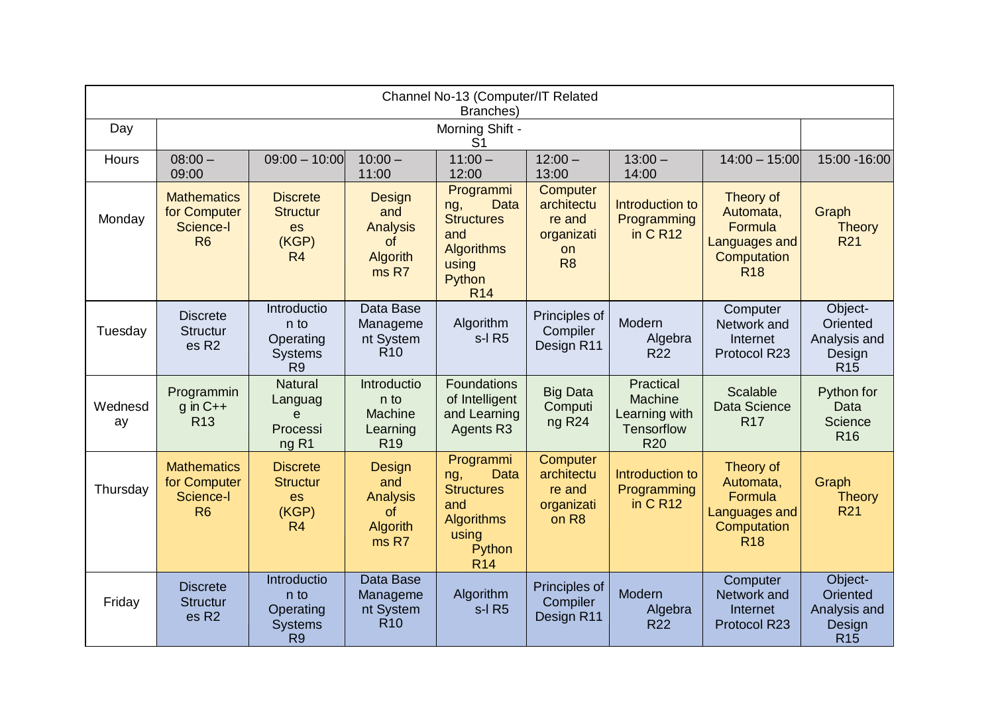| Channel No-13 (Computer/IT Related<br>Branches) |                                                                   |                                                                      |                                                                      |                                                                                                                   |                                                                               |                                                                          |                                                                                 |                                                             |  |  |
|-------------------------------------------------|-------------------------------------------------------------------|----------------------------------------------------------------------|----------------------------------------------------------------------|-------------------------------------------------------------------------------------------------------------------|-------------------------------------------------------------------------------|--------------------------------------------------------------------------|---------------------------------------------------------------------------------|-------------------------------------------------------------|--|--|
| Day                                             |                                                                   | Morning Shift -<br>S <sub>1</sub>                                    |                                                                      |                                                                                                                   |                                                                               |                                                                          |                                                                                 |                                                             |  |  |
| Hours                                           | $08:00 -$<br>09:00                                                | $09:00 - 10:00$                                                      | $10:00 -$<br>11:00                                                   | $11:00 -$<br>12:00                                                                                                | $12:00 -$<br>13:00                                                            | $13:00 -$<br>14:00                                                       | $14:00 - 15:00$                                                                 | 15:00 - 16:00                                               |  |  |
| Monday                                          | <b>Mathematics</b><br>for Computer<br>Science-I<br>R <sub>6</sub> | <b>Discrete</b><br><b>Structur</b><br>es<br>(KGP)<br>R <sub>4</sub>  | Design<br>and<br><b>Analysis</b><br>of<br><b>Algorith</b><br>ms R7   | Programmi<br><b>Data</b><br>ng,<br><b>Structures</b><br>and<br><b>Algorithms</b><br>using<br>Python<br><b>R14</b> | Computer<br>architectu<br>re and<br>organizati<br><b>on</b><br>R <sub>8</sub> | Introduction to<br>Programming<br>in C R12                               | Theory of<br>Automata,<br>Formula<br>Languages and<br>Computation<br><b>R18</b> | Graph<br><b>Theory</b><br><b>R21</b>                        |  |  |
| Tuesday                                         | <b>Discrete</b><br><b>Structur</b><br>es R <sub>2</sub>           | Introductio<br>n to<br>Operating<br><b>Systems</b><br>R <sub>9</sub> | Data Base<br>Manageme<br>nt System<br>R <sub>10</sub>                | Algorithm<br>s-I R5                                                                                               | Principles of<br>Compiler<br>Design R11                                       | Modern<br>Algebra<br><b>R22</b>                                          | Computer<br>Network and<br>Internet<br>Protocol R23                             | Object-<br>Oriented<br>Analysis and<br>Design<br><b>R15</b> |  |  |
| Wednesd<br>ay                                   | Programmin<br>$q$ in $C++$<br><b>R13</b>                          | <b>Natural</b><br>Languag<br>e<br>Processi<br>ng R <sub>1</sub>      | Introductio<br>n to<br><b>Machine</b><br>Learning<br>R <sub>19</sub> | <b>Foundations</b><br>of Intelligent<br>and Learning<br><b>Agents R3</b>                                          | <b>Big Data</b><br>Computi<br>ng R <sub>24</sub>                              | Practical<br><b>Machine</b><br>Learning with<br>Tensorflow<br><b>R20</b> | Scalable<br>Data Science<br><b>R17</b>                                          | Python for<br>Data<br>Science<br><b>R16</b>                 |  |  |
| Thursday                                        | <b>Mathematics</b><br>for Computer<br>Science-I<br>R <sub>6</sub> | <b>Discrete</b><br><b>Structur</b><br>es<br>(KGP)<br>R <sub>4</sub>  | Design<br>and<br><b>Analysis</b><br>of<br>Algorith<br>ms R7          | Programmi<br><b>Data</b><br>ng,<br><b>Structures</b><br>and<br><b>Algorithms</b><br>using<br>Python<br><b>R14</b> | Computer<br>architectu<br>re and<br>organizati<br>on R8                       | Introduction to<br>Programming<br>in C R12                               | Theory of<br>Automata,<br>Formula<br>Languages and<br>Computation<br><b>R18</b> | Graph<br><b>Theory</b><br><b>R21</b>                        |  |  |
| Friday                                          | <b>Discrete</b><br><b>Structur</b><br>es R <sub>2</sub>           | Introductio<br>n to<br>Operating<br><b>Systems</b><br>R <sub>9</sub> | Data Base<br>Manageme<br>nt System<br><b>R10</b>                     | Algorithm<br>s-I R5                                                                                               | Principles of<br>Compiler<br>Design R11                                       | Modern<br>Algebra<br><b>R22</b>                                          | Computer<br>Network and<br><b>Internet</b><br>Protocol R23                      | Object-<br>Oriented<br>Analysis and<br>Design<br><b>R15</b> |  |  |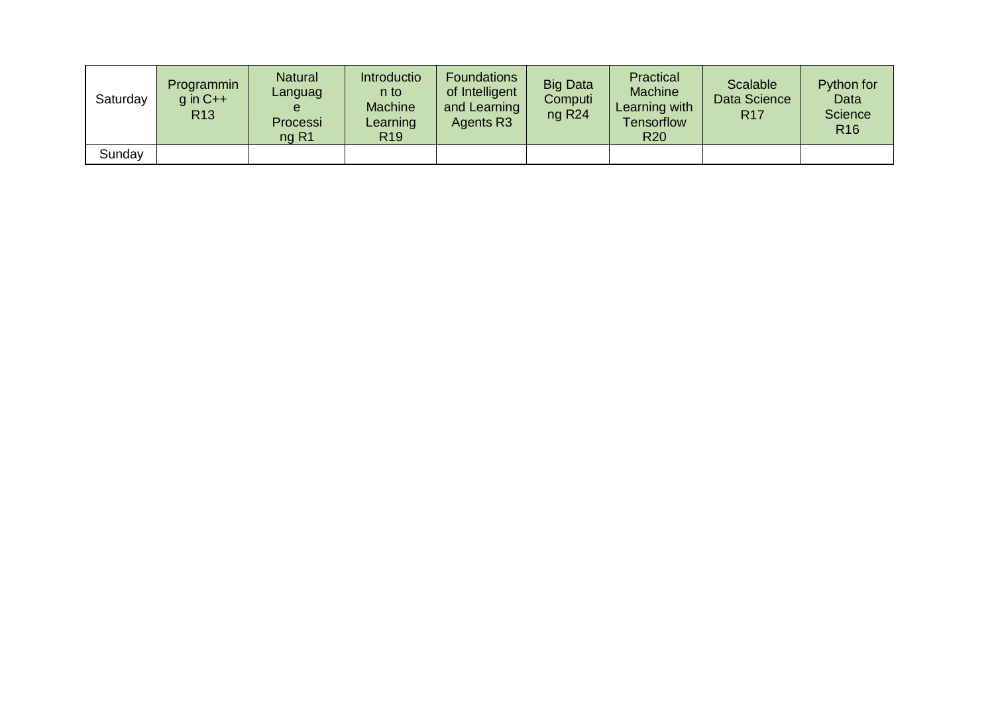| Saturday | Programmin<br>$g$ in $C++$<br>R <sub>13</sub> | <b>Natural</b><br>Languag<br>Processi<br>$nq$ R1 | <b>Introductio</b><br>n to<br><b>Machine</b><br>Learning<br>R <sub>19</sub> | <b>Foundations</b><br>of Intelligent<br>and Learning<br>Agents R3 | <b>Big Data</b><br>Computi<br>ng R <sub>24</sub> | Practical<br><b>Machine</b><br>Learning with<br><b>Tensorflow</b><br><b>R20</b> | Scalable<br>Data Science<br><b>R17</b> | Python for<br>Data<br>Science<br><b>R16</b> |
|----------|-----------------------------------------------|--------------------------------------------------|-----------------------------------------------------------------------------|-------------------------------------------------------------------|--------------------------------------------------|---------------------------------------------------------------------------------|----------------------------------------|---------------------------------------------|
| Sunday   |                                               |                                                  |                                                                             |                                                                   |                                                  |                                                                                 |                                        |                                             |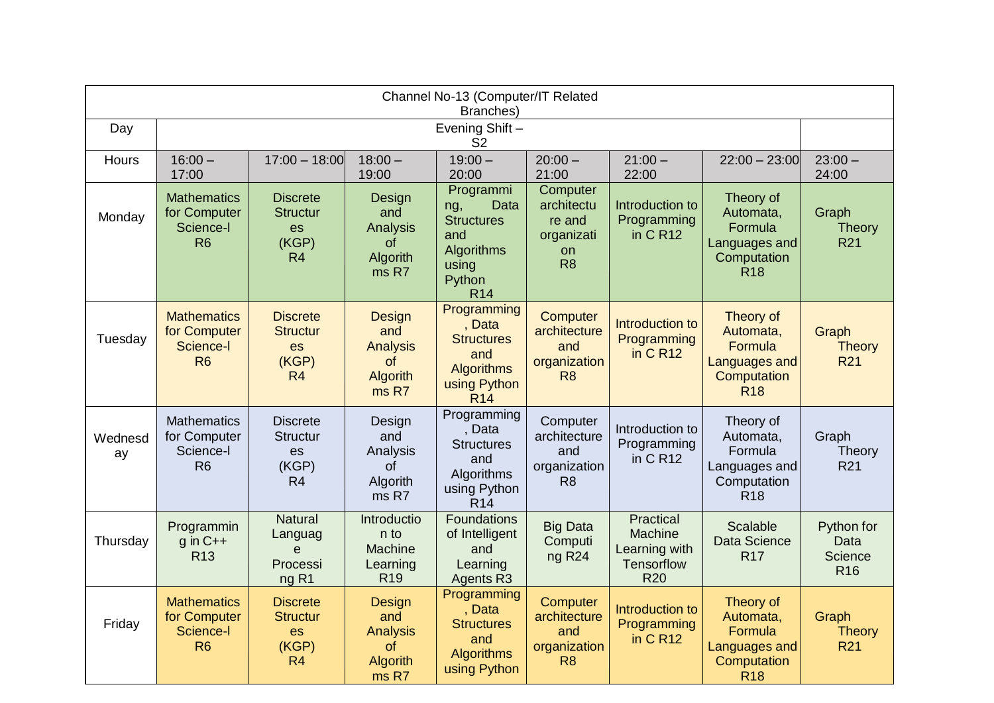| Channel No-13 (Computer/IT Related<br>Branches) |                                                                   |                                                                            |                                                                    |                                                                                                     |                                                                        |                                                                          |                                                                                 |                                                  |  |  |
|-------------------------------------------------|-------------------------------------------------------------------|----------------------------------------------------------------------------|--------------------------------------------------------------------|-----------------------------------------------------------------------------------------------------|------------------------------------------------------------------------|--------------------------------------------------------------------------|---------------------------------------------------------------------------------|--------------------------------------------------|--|--|
| Day                                             |                                                                   | Evening Shift-<br>S <sub>2</sub>                                           |                                                                    |                                                                                                     |                                                                        |                                                                          |                                                                                 |                                                  |  |  |
| Hours                                           | $16:00 -$<br>17:00                                                | $17:00 - 18:00$                                                            | $18:00 -$<br>19:00                                                 | $19:00 -$<br>20:00                                                                                  | $20:00 -$<br>21:00                                                     | $21:00 -$<br>22:00                                                       | $22:00 - 23:00$                                                                 | $23:00 -$<br>24:00                               |  |  |
| Monday                                          | <b>Mathematics</b><br>for Computer<br>Science-I<br>R <sub>6</sub> | <b>Discrete</b><br><b>Structur</b><br><b>es</b><br>(KGP)<br>R <sub>4</sub> | Design<br>and<br>Analysis<br><b>of</b><br><b>Algorith</b><br>ms R7 | Programmi<br>Data<br>ng,<br><b>Structures</b><br>and<br>Algorithms<br>using<br>Python<br><b>R14</b> | Computer<br>architectu<br>re and<br>organizati<br>on<br>R <sub>8</sub> | Introduction to<br>Programming<br>in $C$ R <sub>12</sub>                 | Theory of<br>Automata,<br>Formula<br>Languages and<br>Computation<br><b>R18</b> | Graph<br><b>Theory</b><br><b>R21</b>             |  |  |
| Tuesday                                         | <b>Mathematics</b><br>for Computer<br>Science-I<br>R <sub>6</sub> | <b>Discrete</b><br><b>Structur</b><br>es<br>(KGP)<br>R <sub>4</sub>        | Design<br>and<br><b>Analysis</b><br>of<br><b>Algorith</b><br>ms R7 | Programming<br>, Data<br><b>Structures</b><br>and<br>Algorithms<br>using Python<br>R <sub>14</sub>  | Computer<br>architecture<br>and<br>organization<br>R <sub>8</sub>      | Introduction to<br>Programming<br>in $C$ R <sub>12</sub>                 | Theory of<br>Automata,<br>Formula<br>Languages and<br>Computation<br><b>R18</b> | Graph<br><b>Theory</b><br><b>R21</b>             |  |  |
| Wednesd<br>ay                                   | <b>Mathematics</b><br>for Computer<br>Science-I<br>R <sub>6</sub> | <b>Discrete</b><br><b>Structur</b><br><b>es</b><br>(KGP)<br>R <sub>4</sub> | Design<br>and<br>Analysis<br>of<br>Algorith<br>ms R7               | Programming<br>, Data<br><b>Structures</b><br>and<br>Algorithms<br>using Python<br><b>R14</b>       | Computer<br>architecture<br>and<br>organization<br>R <sub>8</sub>      | Introduction to<br>Programming<br>in $C$ R <sub>12</sub>                 | Theory of<br>Automata,<br>Formula<br>Languages and<br>Computation<br><b>R18</b> | Graph<br>Theory<br><b>R21</b>                    |  |  |
| Thursday                                        | Programmin<br>$g$ in $C++$<br>R <sub>13</sub>                     | <b>Natural</b><br>Languag<br>e<br>Processi<br>ng R <sub>1</sub>            | Introductio<br>n to<br>Machine<br>Learning<br>R <sub>19</sub>      | <b>Foundations</b><br>of Intelligent<br>and<br>Learning<br>Agents R3                                | <b>Big Data</b><br>Computi<br>ng R <sub>24</sub>                       | Practical<br>Machine<br>Learning with<br><b>Tensorflow</b><br><b>R20</b> | <b>Scalable</b><br><b>Data Science</b><br><b>R17</b>                            | Python for<br>Data<br>Science<br>R <sub>16</sub> |  |  |
| Friday                                          | <b>Mathematics</b><br>for Computer<br>Science-I<br><b>R6</b>      | <b>Discrete</b><br><b>Structur</b><br>es<br>(KGP)<br>R4                    | Design<br>and<br><b>Analysis</b><br>of<br>Algorith<br>ms R7        | Programming<br>. Data<br><b>Structures</b><br>and<br><b>Algorithms</b><br>using Python              | Computer<br>architecture<br>and<br>organization<br>R <sub>8</sub>      | Introduction to<br>Programming<br>in CR <sub>12</sub>                    | Theory of<br>Automata,<br>Formula<br>Languages and<br>Computation<br><b>R18</b> | Graph<br><b>Theory</b><br><b>R21</b>             |  |  |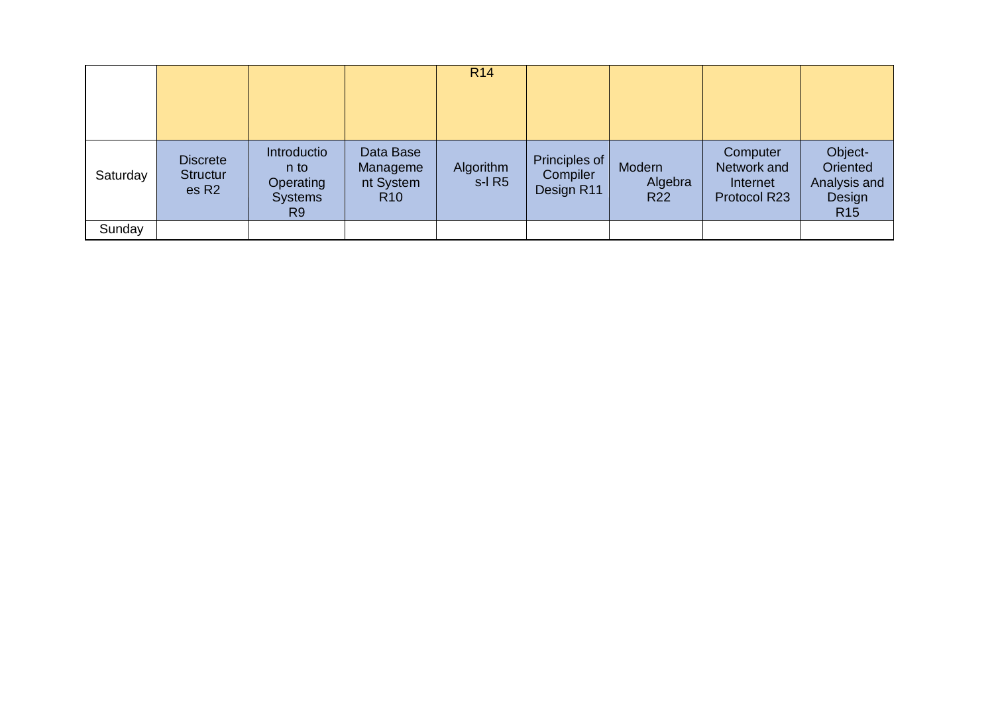|          |                                                         |                                                                      |                                                       | <b>R14</b>            |                                         |                                 |                                                     |                                                                  |
|----------|---------------------------------------------------------|----------------------------------------------------------------------|-------------------------------------------------------|-----------------------|-----------------------------------------|---------------------------------|-----------------------------------------------------|------------------------------------------------------------------|
| Saturday | <b>Discrete</b><br><b>Structur</b><br>es R <sub>2</sub> | Introductio<br>n to<br>Operating<br><b>Systems</b><br>R <sub>9</sub> | Data Base<br>Manageme<br>nt System<br>R <sub>10</sub> | Algorithm<br>$s-I R5$ | Principles of<br>Compiler<br>Design R11 | Modern<br>Algebra<br><b>R22</b> | Computer<br>Network and<br>Internet<br>Protocol R23 | Object-<br>Oriented<br>Analysis and<br>Design<br>R <sub>15</sub> |
| Sunday   |                                                         |                                                                      |                                                       |                       |                                         |                                 |                                                     |                                                                  |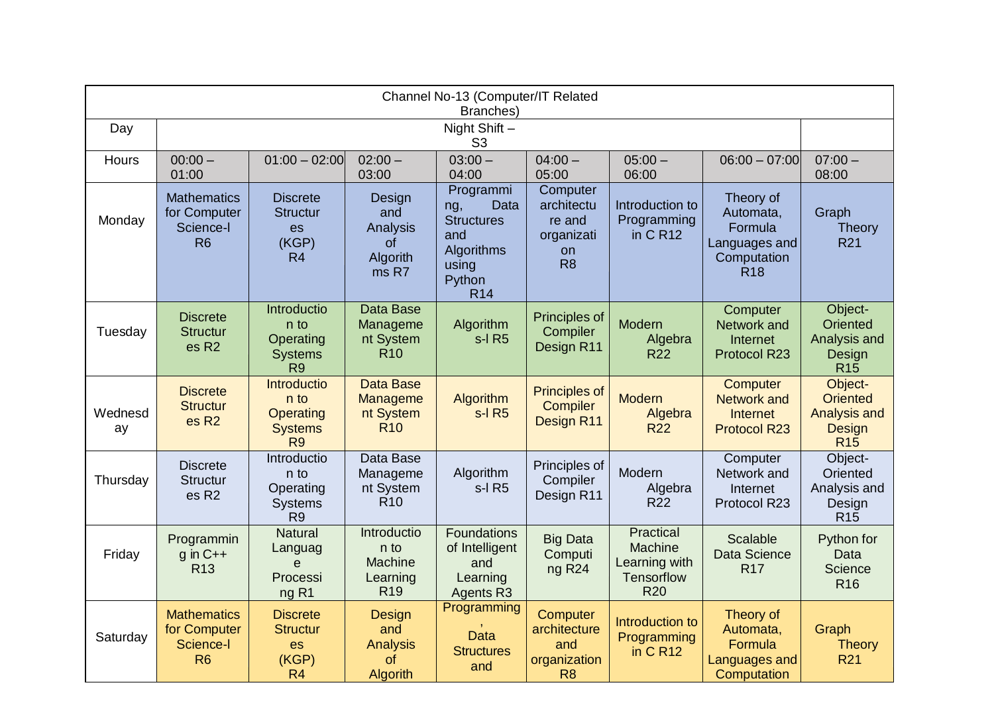| Channel No-13 (Computer/IT Related<br>Branches) |                                                                   |                                                                             |                                                                  |                                                                                                     |                                                                        |                                                                          |                                                                                 |                                                                    |  |  |
|-------------------------------------------------|-------------------------------------------------------------------|-----------------------------------------------------------------------------|------------------------------------------------------------------|-----------------------------------------------------------------------------------------------------|------------------------------------------------------------------------|--------------------------------------------------------------------------|---------------------------------------------------------------------------------|--------------------------------------------------------------------|--|--|
| Day                                             |                                                                   | Night Shift -<br>S <sub>3</sub>                                             |                                                                  |                                                                                                     |                                                                        |                                                                          |                                                                                 |                                                                    |  |  |
| Hours                                           | $00:00 -$<br>01:00                                                | $01:00 - 02:00$                                                             | $02:00 -$<br>03:00                                               | $03:00 -$<br>04:00                                                                                  | $04:00 -$<br>05:00                                                     | $05:00 -$<br>06:00                                                       | $06:00 - 07:00$                                                                 | $07:00 -$<br>08:00                                                 |  |  |
| Monday                                          | <b>Mathematics</b><br>for Computer<br>Science-I<br>R <sub>6</sub> | <b>Discrete</b><br><b>Structur</b><br><b>es</b><br>(KGP)<br>R <sub>4</sub>  | Design<br>and<br>Analysis<br>of<br>Algorith<br>ms R7             | Programmi<br>Data<br>ng,<br><b>Structures</b><br>and<br>Algorithms<br>using<br>Python<br><b>R14</b> | Computer<br>architectu<br>re and<br>organizati<br>on<br>R <sub>8</sub> | Introduction to<br>Programming<br>in C R12                               | Theory of<br>Automata,<br>Formula<br>Languages and<br>Computation<br><b>R18</b> | Graph<br><b>Theory</b><br><b>R21</b>                               |  |  |
| Tuesday                                         | <b>Discrete</b><br><b>Structur</b><br>es R <sub>2</sub>           | Introductio<br>n to<br>Operating<br><b>Systems</b><br>R <sub>9</sub>        | <b>Data Base</b><br>Manageme<br>nt System<br><b>R10</b>          | Algorithm<br>s-I R5                                                                                 | Principles of<br>Compiler<br>Design R11                                | Modern<br>Algebra<br><b>R22</b>                                          | Computer<br>Network and<br>Internet<br><b>Protocol R23</b>                      | Object-<br>Oriented<br>Analysis and<br>Design<br><b>R15</b>        |  |  |
| Wednesd<br>ay                                   | <b>Discrete</b><br><b>Structur</b><br>es R <sub>2</sub>           | <b>Introductio</b><br>n to<br>Operating<br><b>Systems</b><br>R <sub>9</sub> | <b>Data Base</b><br>Manageme<br>nt System<br><b>R10</b>          | Algorithm<br>$s-I$ R5                                                                               | Principles of<br><b>Compiler</b><br>Design R11                         | <b>Modern</b><br>Algebra<br><b>R22</b>                                   | Computer<br><b>Network and</b><br><b>Internet</b><br><b>Protocol R23</b>        | Object-<br><b>Oriented</b><br>Analysis and<br>Design<br><b>R15</b> |  |  |
| Thursday                                        | <b>Discrete</b><br><b>Structur</b><br>es R <sub>2</sub>           | Introductio<br>n to<br>Operating<br><b>Systems</b><br>R <sub>9</sub>        | Data Base<br>Manageme<br>nt System<br>R <sub>10</sub>            | Algorithm<br>s-I R5                                                                                 | Principles of<br>Compiler<br>Design R11                                | Modern<br>Algebra<br><b>R22</b>                                          | Computer<br>Network and<br>Internet<br>Protocol R23                             | Object-<br>Oriented<br>Analysis and<br>Design<br>R <sub>15</sub>   |  |  |
| Friday                                          | Programmin<br>$g$ in $C++$<br>R <sub>13</sub>                     | <b>Natural</b><br>Languag<br>e<br>Processi<br>ng R <sub>1</sub>             | Introductio<br>n to<br>Machine<br>Learning<br>R <sub>19</sub>    | <b>Foundations</b><br>of Intelligent<br>and<br>Learning<br>Agents R3                                | <b>Big Data</b><br>Computi<br>ng R <sub>24</sub>                       | Practical<br>Machine<br>Learning with<br><b>Tensorflow</b><br><b>R20</b> | <b>Scalable</b><br><b>Data Science</b><br><b>R17</b>                            | Python for<br>Data<br><b>Science</b><br><b>R16</b>                 |  |  |
| Saturday                                        | <b>Mathematics</b><br>for Computer<br>Science-I<br>R <sub>6</sub> | <b>Discrete</b><br><b>Structur</b><br>es<br>(KGP)<br>R <sub>4</sub>         | Design<br>and<br><b>Analysis</b><br><b>of</b><br><b>Algorith</b> | Programming<br><b>Data</b><br><b>Structures</b><br>and                                              | Computer<br>architecture<br>and<br>organization<br>R <sub>8</sub>      | Introduction to<br>Programming<br>in C R12                               | Theory of<br>Automata,<br>Formula<br>Languages and<br>Computation               | Graph<br><b>Theory</b><br>R <sub>21</sub>                          |  |  |